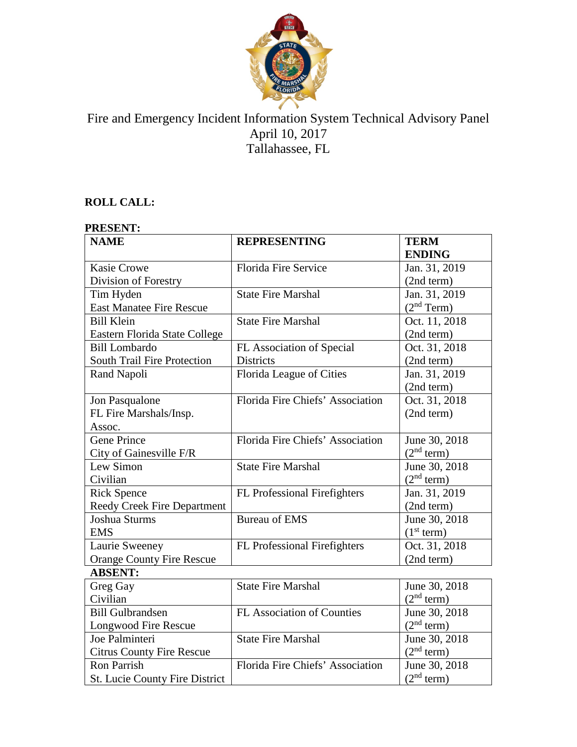

# Fire and Emergency Incident Information System Technical Advisory Panel April 10, 2017 Tallahassee, FL

# **ROLL CALL:**

Citrus County Fire Rescue

St. Lucie County Fire District

Ron Parrish

| <b>PRESENT:</b>                    |                                   |                        |
|------------------------------------|-----------------------------------|------------------------|
| <b>NAME</b>                        | <b>REPRESENTING</b>               | <b>TERM</b>            |
|                                    |                                   | <b>ENDING</b>          |
| <b>Kasie Crowe</b>                 | Florida Fire Service              | Jan. 31, 2019          |
| Division of Forestry               |                                   | (2nd term)             |
| Tim Hyden                          | <b>State Fire Marshal</b>         | Jan. 31, 2019          |
| <b>East Manatee Fire Rescue</b>    |                                   | (2 <sup>nd</sup> Term) |
| <b>Bill Klein</b>                  | <b>State Fire Marshal</b>         | Oct. 11, 2018          |
| Eastern Florida State College      |                                   | (2nd term)             |
| <b>Bill Lombardo</b>               | FL Association of Special         | Oct. 31, 2018          |
| South Trail Fire Protection        | <b>Districts</b>                  | (2nd term)             |
| Rand Napoli                        | Florida League of Cities          | Jan. 31, 2019          |
|                                    |                                   | (2nd term)             |
| Jon Pasqualone                     | Florida Fire Chiefs' Association  | Oct. 31, 2018          |
| FL Fire Marshals/Insp.             |                                   | (2nd term)             |
| Assoc.                             |                                   |                        |
| <b>Gene Prince</b>                 | Florida Fire Chiefs' Association  | June 30, 2018          |
| City of Gainesville F/R            |                                   | (2 <sup>nd</sup> term) |
| Lew Simon                          | <b>State Fire Marshal</b>         | June 30, 2018          |
| Civilian                           |                                   | (2 <sup>nd</sup> term) |
| <b>Rick Spence</b>                 | FL Professional Firefighters      | Jan. 31, 2019          |
| <b>Reedy Creek Fire Department</b> |                                   | (2nd term)             |
| Joshua Sturms                      | <b>Bureau of EMS</b>              | June 30, 2018          |
| <b>EMS</b>                         |                                   | (1 <sup>st</sup> term) |
| Laurie Sweeney                     | FL Professional Firefighters      | Oct. 31, 2018          |
| <b>Orange County Fire Rescue</b>   |                                   | (2nd term)             |
| <b>ABSENT:</b>                     |                                   |                        |
| Greg Gay                           | <b>State Fire Marshal</b>         | June 30, 2018          |
| Civilian                           |                                   | (2 <sup>nd</sup> term) |
| <b>Bill Gulbrandsen</b>            | <b>FL Association of Counties</b> | June 30, 2018          |
| Longwood Fire Rescue               |                                   | (2 <sup>nd</sup> term) |
| Joe Palminteri                     | <b>State Fire Marshal</b>         | June 30, 2018          |

Florida Fire Chiefs' Association

 $\frac{(2^{nd} \text{ term})}{\text{June } 30, 2018}$ 

 $(2<sup>nd</sup> term)$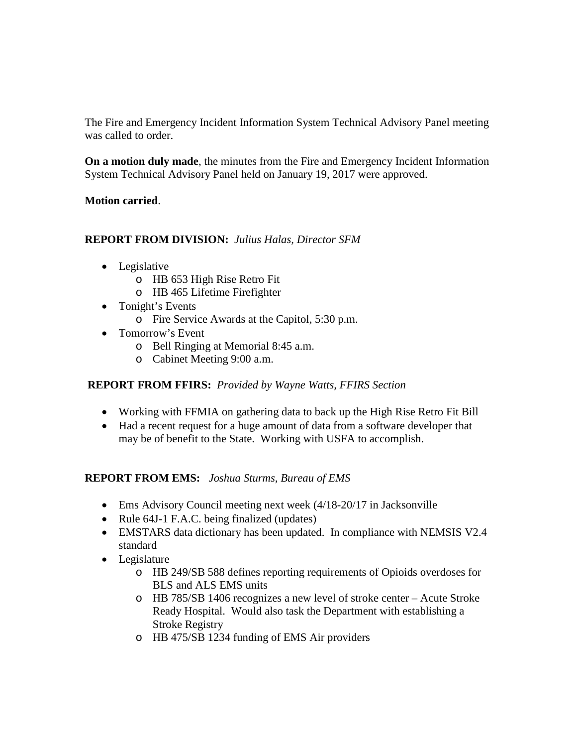The Fire and Emergency Incident Information System Technical Advisory Panel meeting was called to order.

**On a motion duly made**, the minutes from the Fire and Emergency Incident Information System Technical Advisory Panel held on January 19, 2017 were approved.

## **Motion carried**.

## **REPORT FROM DIVISION:** *Julius Halas, Director SFM*

- Legislative
	- o HB 653 High Rise Retro Fit
	- o HB 465 Lifetime Firefighter
- Tonight's Events
	- o Fire Service Awards at the Capitol, 5:30 p.m.
- Tomorrow's Event
	- o Bell Ringing at Memorial 8:45 a.m.
	- o Cabinet Meeting 9:00 a.m.

## **REPORT FROM FFIRS:** *Provided by Wayne Watts, FFIRS Section*

- Working with FFMIA on gathering data to back up the High Rise Retro Fit Bill
- Had a recent request for a huge amount of data from a software developer that may be of benefit to the State. Working with USFA to accomplish.

## **REPORT FROM EMS:** *Joshua Sturms, Bureau of EMS*

- Ems Advisory Council meeting next week (4/18-20/17 in Jacksonville
- Rule 64J-1 F.A.C. being finalized (updates)
- EMSTARS data dictionary has been updated. In compliance with NEMSIS V2.4 standard
- Legislature
	- o HB 249/SB 588 defines reporting requirements of Opioids overdoses for BLS and ALS EMS units
	- o HB 785/SB 1406 recognizes a new level of stroke center Acute Stroke Ready Hospital. Would also task the Department with establishing a Stroke Registry
	- o HB 475/SB 1234 funding of EMS Air providers